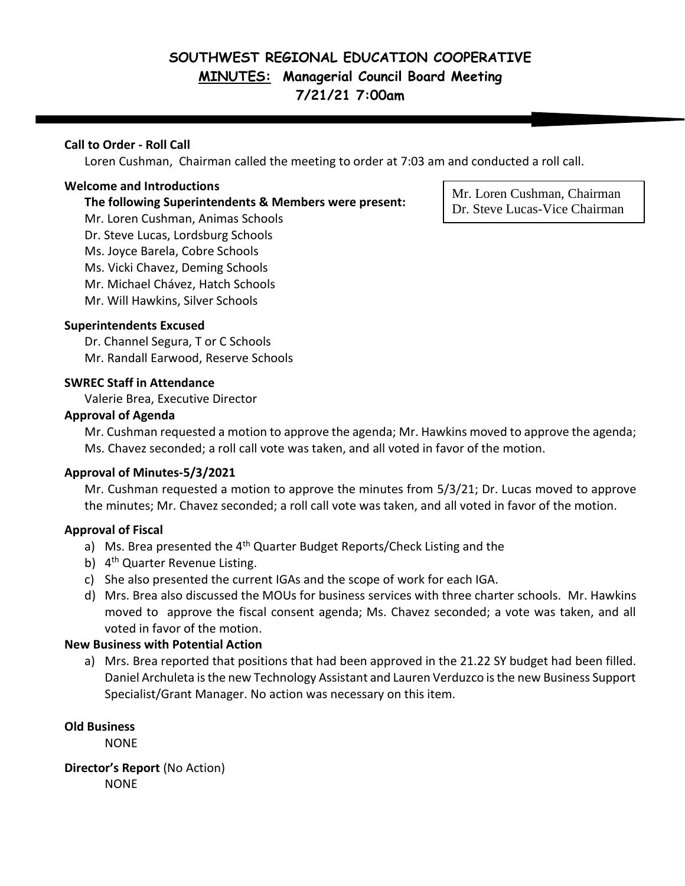# **SOUTHWEST REGIONAL EDUCATION COOPERATIVE MINUTES: Managerial Council Board Meeting 7/21/21 7:00am**

# **Call to Order - Roll Call**

Loren Cushman, Chairman called the meeting to order at 7:03 am and conducted a roll call.

#### **Welcome and Introductions**

#### **The following Superintendents & Members were present:**

Mr. Loren Cushman, Animas Schools Dr. Steve Lucas, Lordsburg Schools Ms. Joyce Barela, Cobre Schools Ms. Vicki Chavez, Deming Schools Mr. Michael Chávez, Hatch Schools Mr. Will Hawkins, Silver Schools

## **Superintendents Excused**

Dr. Channel Segura, T or C Schools Mr. Randall Earwood, Reserve Schools

## **SWREC Staff in Attendance**

Valerie Brea, Executive Director

#### **Approval of Agenda**

Mr. Cushman requested a motion to approve the agenda; Mr. Hawkins moved to approve the agenda; Ms. Chavez seconded; a roll call vote was taken, and all voted in favor of the motion.

#### **Approval of Minutes-5/3/2021**

Mr. Cushman requested a motion to approve the minutes from 5/3/21; Dr. Lucas moved to approve the minutes; Mr. Chavez seconded; a roll call vote was taken, and all voted in favor of the motion.

## **Approval of Fiscal**

- a) Ms. Brea presented the 4<sup>th</sup> Quarter Budget Reports/Check Listing and the
- b) 4<sup>th</sup> Quarter Revenue Listing.
- c) She also presented the current IGAs and the scope of work for each IGA.
- d) Mrs. Brea also discussed the MOUs for business services with three charter schools. Mr. Hawkins moved to approve the fiscal consent agenda; Ms. Chavez seconded; a vote was taken, and all voted in favor of the motion.

#### **New Business with Potential Action**

a) Mrs. Brea reported that positions that had been approved in the 21.22 SY budget had been filled. Daniel Archuleta is the new Technology Assistant and Lauren Verduzco is the new Business Support Specialist/Grant Manager. No action was necessary on this item.

#### **Old Business**

NONE

**Director's Report** (No Action) **NONE** 

Mr. Loren Cushman, Chairman Dr. Steve Lucas-Vice Chairman